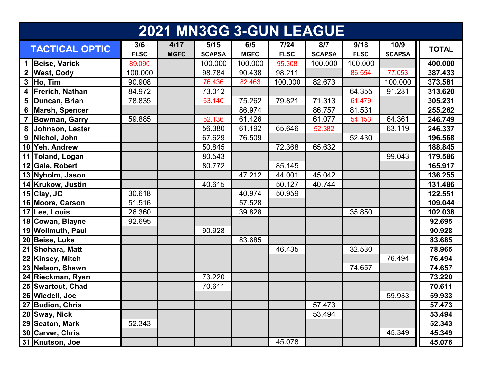| <b>2021 MN3GG 3-GUN LEAGUE</b> |                       |                    |                     |                       |                    |                       |                      |                     |                       |              |
|--------------------------------|-----------------------|--------------------|---------------------|-----------------------|--------------------|-----------------------|----------------------|---------------------|-----------------------|--------------|
|                                | <b>TACTICAL OPTIC</b> | 3/6<br><b>FLSC</b> | 4/17<br><b>MGFC</b> | 5/15<br><b>SCAPSA</b> | 6/5<br><b>MGFC</b> | $7/24$<br><b>FLSC</b> | 8/7<br><b>SCAPSA</b> | 9/18<br><b>FLSC</b> | 10/9<br><b>SCAPSA</b> | <b>TOTAL</b> |
| $\mathbf 1$                    | <b>Beise, Varick</b>  | 89.090             |                     | 100.000               | 100.000            | 95.308                | 100.000              | 100.000             |                       | 400.000      |
|                                | 2 West, Cody          | 100.000            |                     | 98.784                | 90.438             | 98.211                |                      | 86.554              | 77.053                | 387.433      |
| $\mathbf{3}$                   | Ho, Tim               | 90.908             |                     | 76.436                | 82.463             | 100.000               | 82.673               |                     | 100.000               | 373.581      |
|                                | 4 Frerich, Nathan     | 84.972             |                     | 73.012                |                    |                       |                      | 64.355              | 91.281                | 313.620      |
| 5                              | Duncan, Brian         | 78.835             |                     | 63.140                | 75.262             | 79.821                | 71.313               | 61.479              |                       | 305.231      |
|                                | 6 Marsh, Spencer      |                    |                     |                       | 86.974             |                       | 86.757               | 81.531              |                       | 255.262      |
|                                | <b>Bowman, Garry</b>  | 59.885             |                     | 52.136                | 61.426             |                       | 61.077               | 54.153              | 64.361                | 246.749      |
|                                | 8 Johnson, Lester     |                    |                     | 56.380                | 61.192             | 65.646                | 52.382               |                     | 63.119                | 246.337      |
| 9                              | Nichol, John          |                    |                     | 67.629                | 76.509             |                       |                      | 52.430              |                       | 196.568      |
|                                | 10 Yeh, Andrew        |                    |                     | 50.845                |                    | 72.368                | 65.632               |                     |                       | 188.845      |
|                                | 11 Toland, Logan      |                    |                     | 80.543                |                    |                       |                      |                     | 99.043                | 179.586      |
|                                | 12 Gale, Robert       |                    |                     | 80.772                |                    | 85.145                |                      |                     |                       | 165.917      |
|                                | 13 Nyholm, Jason      |                    |                     |                       | 47.212             | 44.001                | 45.042               |                     |                       | 136.255      |
|                                | 14 Krukow, Justin     |                    |                     | 40.615                |                    | 50.127                | 40.744               |                     |                       | 131.486      |
|                                | 15 Clay, JC           | 30.618             |                     |                       | 40.974             | 50.959                |                      |                     |                       | 122.551      |
|                                | 16 Moore, Carson      | 51.516             |                     |                       | 57.528             |                       |                      |                     |                       | 109.044      |
|                                | 17 Lee, Louis         | 26.360             |                     |                       | 39.828             |                       |                      | 35.850              |                       | 102.038      |
|                                | 18 Cowan, Blayne      | 92.695             |                     |                       |                    |                       |                      |                     |                       | 92.695       |
|                                | 19 Wollmuth, Paul     |                    |                     | 90.928                |                    |                       |                      |                     |                       | 90.928       |
|                                | 20 Beise, Luke        |                    |                     |                       | 83.685             |                       |                      |                     |                       | 83.685       |
|                                | 21 Shohara, Matt      |                    |                     |                       |                    | 46.435                |                      | 32.530              |                       | 78.965       |
|                                | 22 Kinsey, Mitch      |                    |                     |                       |                    |                       |                      |                     | 76.494                | 76.494       |
|                                | 23 Nelson, Shawn      |                    |                     |                       |                    |                       |                      | 74.657              |                       | 74.657       |
|                                | 24 Rieckman, Ryan     |                    |                     | 73.220                |                    |                       |                      |                     |                       | 73.220       |
|                                | 25 Swartout, Chad     |                    |                     | 70.611                |                    |                       |                      |                     |                       | 70.611       |
|                                | 26 Wiedell, Joe       |                    |                     |                       |                    |                       |                      |                     | 59.933                | 59.933       |
|                                | 27 Budion, Chris      |                    |                     |                       |                    |                       | 57.473               |                     |                       | 57.473       |
|                                | 28 Sway, Nick         |                    |                     |                       |                    |                       | 53.494               |                     |                       | 53.494       |
|                                | 29 Seaton, Mark       | 52.343             |                     |                       |                    |                       |                      |                     |                       | 52.343       |
|                                | 30 Carver, Chris      |                    |                     |                       |                    |                       |                      |                     | 45.349                | 45.349       |
|                                | 31 Knutson, Joe       |                    |                     |                       |                    | 45.078                |                      |                     |                       | 45.078       |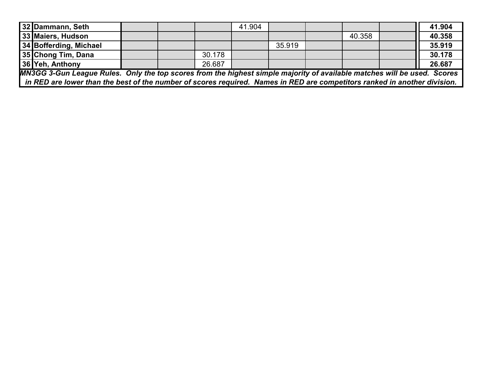| 32 Dammann, Seth                                                                                                            |  |  |        | 41.904 |        |  |        |  | 41.904 |
|-----------------------------------------------------------------------------------------------------------------------------|--|--|--------|--------|--------|--|--------|--|--------|
| 33 Maiers, Hudson                                                                                                           |  |  |        |        |        |  | 40.358 |  | 40.358 |
| 34 Bofferding, Michael                                                                                                      |  |  |        |        | 35.919 |  |        |  | 35.919 |
| 35 Chong Tim, Dana                                                                                                          |  |  | 30.178 |        |        |  |        |  | 30.178 |
| 36 Yeh, Anthony                                                                                                             |  |  | 26.687 |        |        |  |        |  | 26.687 |
| MN3GG 3-Gun League Rules. Only the top scores from the highest simple majority of available matches will be used. Scores    |  |  |        |        |        |  |        |  |        |
| I in RED are lower than the best of the number of scores required. Names in RED are competitors ranked in another division. |  |  |        |        |        |  |        |  |        |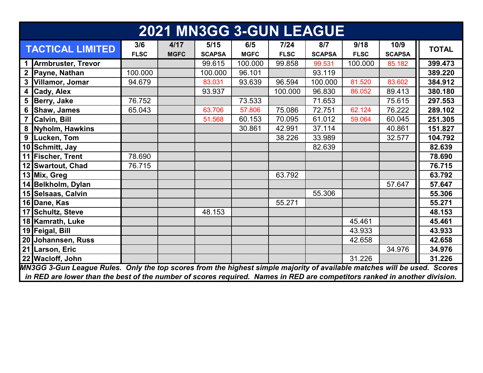| <b>2021 MN3GG 3-GUN LEAGUE</b>                                                                                            |             |             |               |             |             |               |             |               |              |
|---------------------------------------------------------------------------------------------------------------------------|-------------|-------------|---------------|-------------|-------------|---------------|-------------|---------------|--------------|
| <b>TACTICAL LIMITED</b>                                                                                                   | 3/6         | 4/17        | 5/15          | 6/5         | 7/24        | 8/7           | 9/18        | 10/9          | <b>TOTAL</b> |
|                                                                                                                           | <b>FLSC</b> | <b>MGFC</b> | <b>SCAPSA</b> | <b>MGFC</b> | <b>FLSC</b> | <b>SCAPSA</b> | <b>FLSC</b> | <b>SCAPSA</b> |              |
| 1 Armbruster, Trevor                                                                                                      |             |             | 99.615        | 100.000     | 99.858      | 99.531        | 100.000     | 85.182        | 399.473      |
| 2 Payne, Nathan                                                                                                           | 100.000     |             | 100.000       | 96.101      |             | 93.119        |             |               | 389.220      |
| 3 Villamor, Jomar                                                                                                         | 94.679      |             | 83.031        | 93.639      | 96.594      | 100.000       | 81.520      | 83.602        | 384.912      |
| 4 Cady, Alex                                                                                                              |             |             | 93.937        |             | 100.000     | 96.830        | 86.052      | 89.413        | 380.180      |
| 5 Berry, Jake                                                                                                             | 76.752      |             |               | 73.533      |             | 71.653        |             | 75.615        | 297.553      |
| 6 Shaw, James                                                                                                             | 65.043      |             | 63.706        | 57.806      | 75.086      | 72.751        | 62.124      | 76.222        | 289.102      |
| 7 Calvin, Bill                                                                                                            |             |             | 51.568        | 60.153      | 70.095      | 61.012        | 59.064      | 60.045        | 251.305      |
| 8 Nyholm, Hawkins                                                                                                         |             |             |               | 30.861      | 42.991      | 37.114        |             | 40.861        | 151.827      |
| 9 Lucken, Tom                                                                                                             |             |             |               |             | 38.226      | 33.989        |             | 32.577        | 104.792      |
| 10 Schmitt, Jay                                                                                                           |             |             |               |             |             | 82.639        |             |               | 82.639       |
| 11 Fischer, Trent                                                                                                         | 78.690      |             |               |             |             |               |             |               | 78.690       |
| 12 Swartout, Chad                                                                                                         | 76.715      |             |               |             |             |               |             |               | 76.715       |
| 13 Mix, Greg                                                                                                              |             |             |               |             | 63.792      |               |             |               | 63.792       |
| 14 Belkholm, Dylan                                                                                                        |             |             |               |             |             |               |             | 57.647        | 57.647       |
| 15 Selsaas, Calvin                                                                                                        |             |             |               |             |             | 55.306        |             |               | 55.306       |
| 16 Dane, Kas                                                                                                              |             |             |               |             | 55.271      |               |             |               | 55.271       |
| 17 Schultz, Steve                                                                                                         |             |             | 48.153        |             |             |               |             |               | 48.153       |
| 18 Kamrath, Luke                                                                                                          |             |             |               |             |             |               | 45.461      |               | 45.461       |
| 19 Feigal, Bill                                                                                                           |             |             |               |             |             |               | 43.933      |               | 43.933       |
| 20 Johannsen, Russ                                                                                                        |             |             |               |             |             |               | 42.658      |               | 42.658       |
| 21 Larson, Eric                                                                                                           |             |             |               |             |             |               |             | 34.976        | 34.976       |
| 22 Wacloff, John                                                                                                          |             |             |               |             |             |               | 31.226      |               | 31.226       |
| MN3GG 3-Gun League Rules. Only the top scores from the highest simple majority of available matches will be used. Scores  |             |             |               |             |             |               |             |               |              |
| in RED are lower than the best of the number of scores required. Names in RED are competitors ranked in another division. |             |             |               |             |             |               |             |               |              |